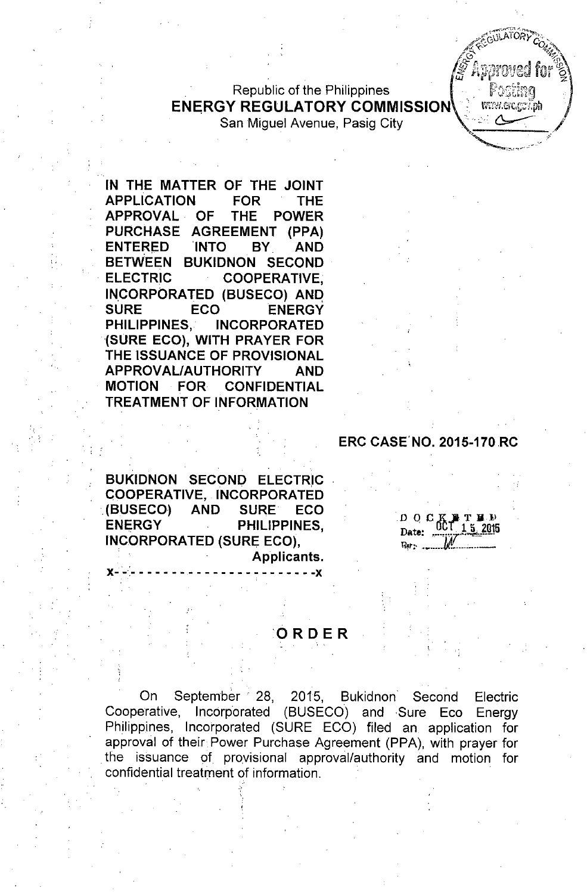Republic of the Philippines ENERGY REGULATORY COMMISSION San Miguel Avenue, Pasig City



IN THE MATTER OF THE JOINT APPLICATION FOR THE APPROVAL. OF THE POWER PURCHASE AGREEMENT (PPA) ENTERED 'INTO BY. AND BETWEEN BUKIDNON SECOND . ELECTRIC COOPERATIVE, INCORPORATED (BUSECO) ANQ SURE ECO ENERGY PHILIPPINES,' INCORPORATED (SURE ECO), WITH PRAYER FOR THE ISSUANCE OF PROVISIONAL APPROVAL/AUTHORITY AND

MOTION FOR CONFIDENTIAL TREATMENT OF INFORMATION

.' :.

#### ERC CASE'NO. 2015-170RC

BUKIDNON SECOND ELECTRIC COOPERATIVE, INCORPORATED (BUSECO) AND SURE ECO ENERGY PHILIPPINES, INCORPORATED (SURE ECO),

x- '-'- - - - - - -- - - - - - - - - - - - - - - -x

Applicants.

*D* O<sup></sup> C<sub>K</sub><sup>T</sup><sup>H</sup><sup>2</sup> Date:  $\frac{0.01}{10}$  1.2. 60.0 *~:' .•.•... \_\_.-IJl~-\_."\_ -*

#### ORDER

On September 28, 2015, Bukidnon Second Electric Cooperative, Incorporated (BUSECO) and Sure Eco Energy Philippines, Incorporated (SURE ECO) filed an application for approval of their Power Purchase Agreement (PPA), with prayer for the issuance of provisional approval/authority and motion for confidential treatment of information. .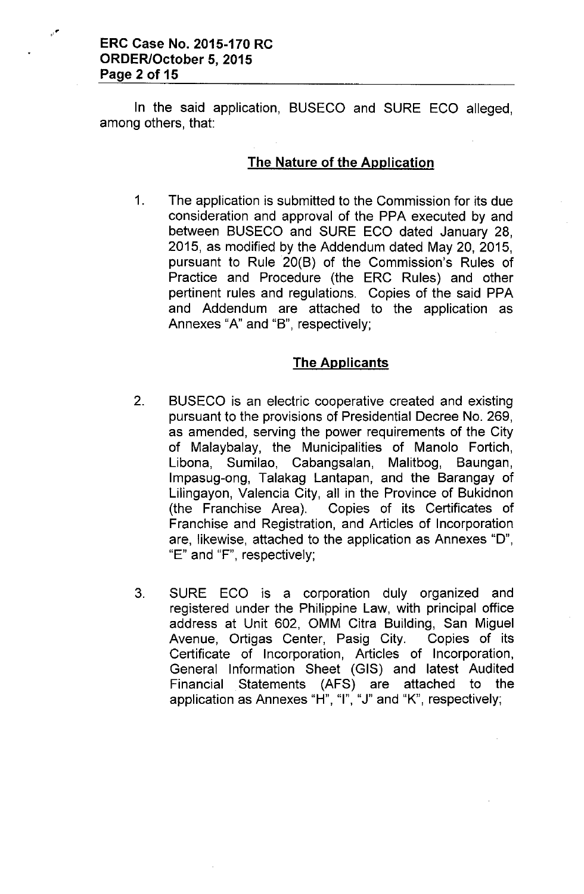ERC Case No. 2015-170 RC ORDER/October 5, 2015 Page 2 of 15

In the said application, BUSECO and SURE ECO alleged, among others, that:

#### The Nature of the Application

1. The application is submitted to the Commission for its due consideration and approval of the PPA executed by and between BUSECO and SURE ECO dated January 28, 2015, as modified by the Addendum dated May 20,2015, pursuant to Rule 20(B) of the Commission's Rules of Practice and Procedure (the ERC Rules) and other pertinent rules and regulations. Copies of the said PPA and Addendum are attached to the application as Annexes "A" and "B", respectively;

#### The Applicants

- 2. BUSECO is an electric cooperative created and existing pursuant to the provisions of Presidential Decree No. 269, as amended, serving the power requirements of the City of Malaybalay, the Municipalities of Manolo Fortich, Libona, Sumilao, Cabangsalan, Malitbog, Baungan, Impasug-ong, Talakag Lantapan, and the Barangay of Lilingayon, Valencia City, all in the Province of Bukidnon (the Franchise Area). Copies of its Certificates of Franchise and Registration, and Articles of Incorporation are, likewise, attached to the application as Annexes "0", "E" and "F", respectively;
- 3. SURE ECO is a corporation duly organized and registered under the Philippine Law, with principal office address at Unit 602, OMM Citra Building, San Miguel Avenue, Ortigas Center, Pasig City. Copies of its Certificate of Incorporation, Articles of Incorporation, General Information Sheet (GIS) and latest Audited Financial Statements (AFS) are attached to the application as Annexes "H", "I", "J" and "K", respectively;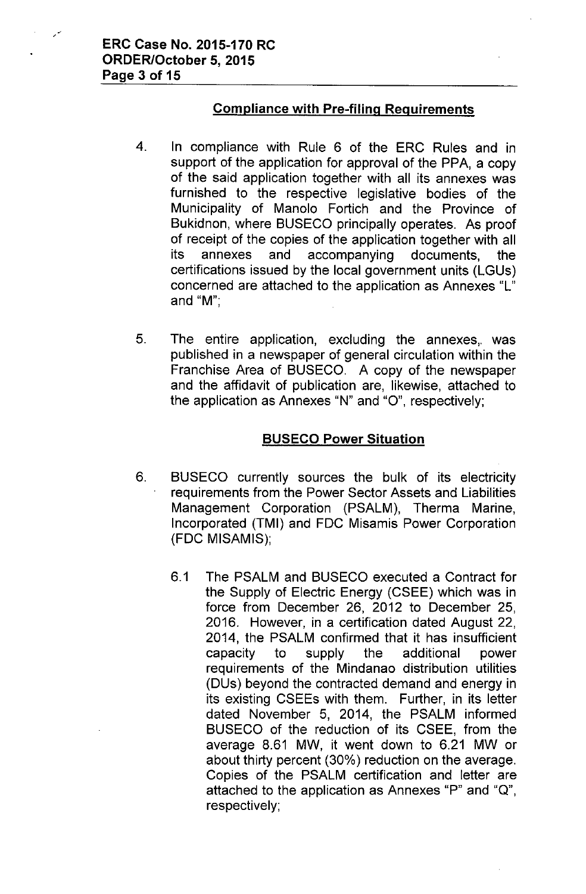# **Compliance with Pre-filing Requirements**

- 4. **In** compliance with Rule 6 of the ERCRules and **in** support of the application for approval of the PPA, a copy of the said application together with all its annexes was furnished to the respective legislative bodies of the Municipality of Manolo Fortich and the Province of Bukidnon, where BUSECO principally operates. As proof of receipt of the copies of the application together with all its annexes and accompanying documents, the certifications issued by the local government units (LGUs) concerned are attached to the application as Annexes "L" and "M'",
- 5. The entire application, excluding the annexes, was published in a newspaper of general circulation within the Franchise Area of BUSECO. A copy of the newspaper and the affidavit of publication are, likewise, attached to the application as Annexes "N" and "O", respectively;

## **BUSECO Power Situation**

- 6. BUSECO currently sources the bulk of its electricity requirements from the Power Sector Assets and Liabilities Management Corporation (PSALM), Therma Marine, Incorporated (TMI) and FDC Misamis Power Corporation (FDC MISAMIS);
	- 6.1 The PSALM and BUSECO executed a Contract for the Supply of Electric Energy (CSEE) which was in force from December 26, 2012 to December 25, 2016. However, in a certification dated August 22, 2014, the PSALM confirmed that it has insufficient capacity to supply the additional power requirements of the Mindanao distribution utilities (DUs) beyond the contracted demand and energy in its existing CSEEs with them. Further, in its letter dated November 5, 2014, the PSALM informed BUSECO of the reduction of its CSEE, from the average 8.61 MW, it went down to 6.21 MW or about thirty percent (30%) reduction on the average. Copies of the PSALM certification and letter are attached to the application as Annexes "P" and "Q", respectively;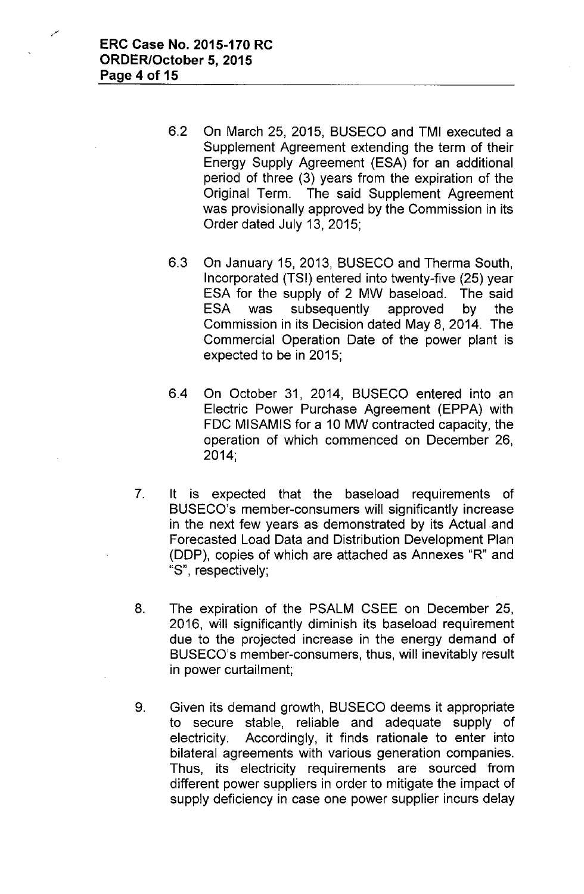- 6.2 On March 25, 2015, BUSECO and TMI executed a Supplement Agreement extending the term of their Energy Supply Agreement (ESA) for an additional period of three (3) years from the expiration of the Original Term. The said Supplement Agreement was provisionally approved by the Commission in its Order dated July 13, 2015;
- 6.3 On January 15, 2013, BUSECO and Therma South, Incorporated (TSI) entered into twenty-five (25) year ESA for the supply of 2 MW baseload. The said ESA was subsequently approved by the Commission in its Decision dated May 8,2014. The Commercial Operation Date of the power plant is expected to be in 2015;
- 6.4 On October 31, 2014, BUSECO entered into an Electric Power Purchase Agreement (EPPA) with FDC MISAMIS for a 10 MW contracted capacity, the operation of which commenced on December 26, 2014;
- 7. It is expected that the baseload requirements of BUSECO's member-consumers will significantly increase in the next few years as demonstrated by its Actual and Forecasted Load Data and Distribution Development Plan (DDP), copies of which are attached as Annexes "R" and "S", respectively;
- 8. The expiration of the PSALM CSEE on December 25, 2016, will significantly diminish its baseload requirement due to the projected increase in the energy demand of BUSECO's member-consumers, thus, will inevitably result in power curtailment;
- 9. Given its demand growth, BUSECO deems it appropriate to secure stable, reliable and adequate supply of electricity. Accordingly, it finds rationale to enter into bilateral agreements with various generation companies. Thus, its electricity requirements are sourced from different power suppliers in order to mitigate the impact of supply deficiency in case one power supplier incurs delay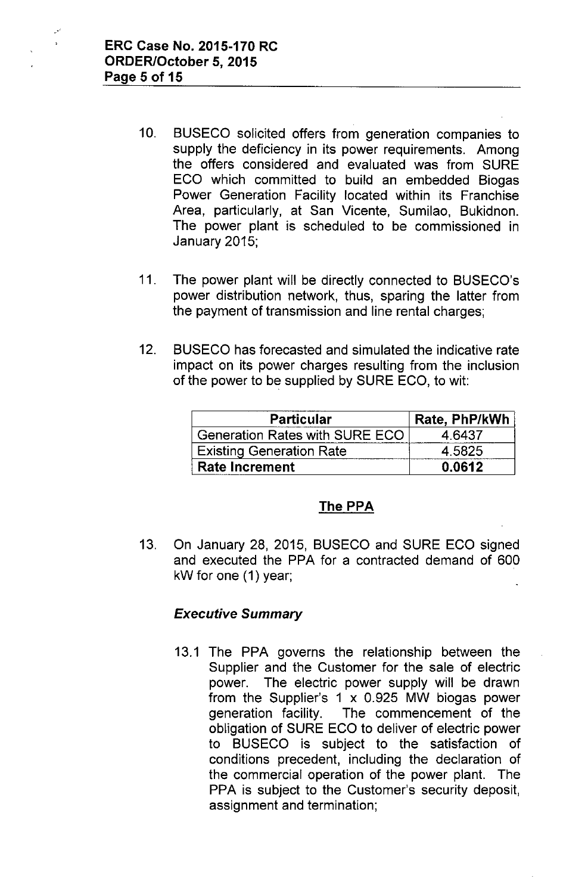- 10. BUSECO solicited offers from generation companies to supply the deficiency in its power requirements. Among the offers considered and evaluated was from SURE ECO which committed to build an embedded Biogas Power Generation Facility located within its Franchise Area, particularly, at San Vicente, Sumilao, Bukidnon. The power plant is scheduled to be commissioned in January 2015;
- 11. The power plant will be directly connected to BUSECO's power distribution network, thus, sparing the latter from the payment of transmission and line rental charges;
- 12. BUSECO has forecasted and simulated the indicative rate impact on its power charges resulting from the inclusion of the power to be supplied by SURE ECO, to wit:

| <b>Particular</b>               | Rate, PhP/kWh |
|---------------------------------|---------------|
| Generation Rates with SURE ECO  | 4 6437        |
| <b>Existing Generation Rate</b> | 4.5825        |
| <b>Rate Increment</b>           | 0.0612        |

## The **PPA**

13. On January 28, 2015, BUSECO and SURE ECO signed and executed the PPA for a contracted demand of 600 kW for one (1) year;

# *Executive Summary*

13.1 The PPA governs the relationship between the Supplier and the Customer for the sale of electric power. The electric power supply will be drawn from the Supplier's 1 x 0.925 MW biogas power generation facility. The commencement of the obligation of SURE ECO to deliver of electric power to BUSECO is subject to the satisfaction of conditions precedent, including the declaration of the commercial operation of the power plant. The PPA is subject to the Customer's security deposit, assignment and termination;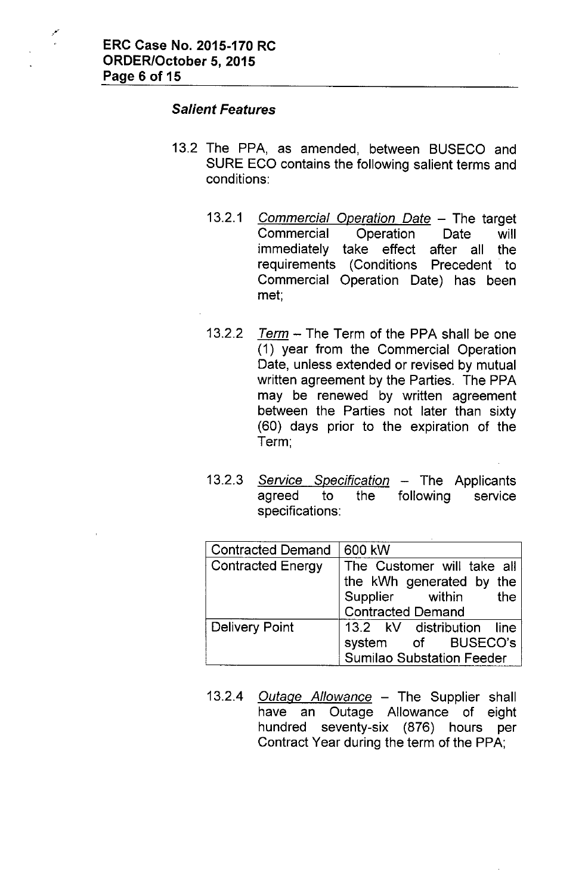#### *Salient Features*

- 13.2 The PPA, as amended, between BUSECO and SURE ECO contains the following salient terms and conditions:
	- *13.2.1 Commercial Operation Date -* The target Commercial Operation Date will immediately take effect after all the requirements (Conditions Precedent to Commercial Operation Date) has been met.,
	- *13.2.2 Term -* The Term of the PPA shall be one (1) year from the Commercial Operation Date, unless extended or revised by mutual written agreement by the Parties. The PPA may be renewed by written agreement between the Parties not later than sixty (60) days prior to the expiration of the Term;
	- 13.2.3 *Service Specification* The Applicants agreed to the specifications: following service

| <b>Contracted Demand</b> | 600 kW                                                                                                    |
|--------------------------|-----------------------------------------------------------------------------------------------------------|
| <b>Contracted Energy</b> | The Customer will take all<br>the kWh generated by the<br>Supplier within the<br><b>Contracted Demand</b> |
| <b>Delivery Point</b>    | 13.2 kV distribution line<br>system of BUSECO's<br><b>Sumilao Substation Feeder</b>                       |

*13.2.4 Outage Allowance -* The Supplier shall have an Outage Allowance of eight hundred seventy-six (876) hours per Contract Year during the term of the PPA;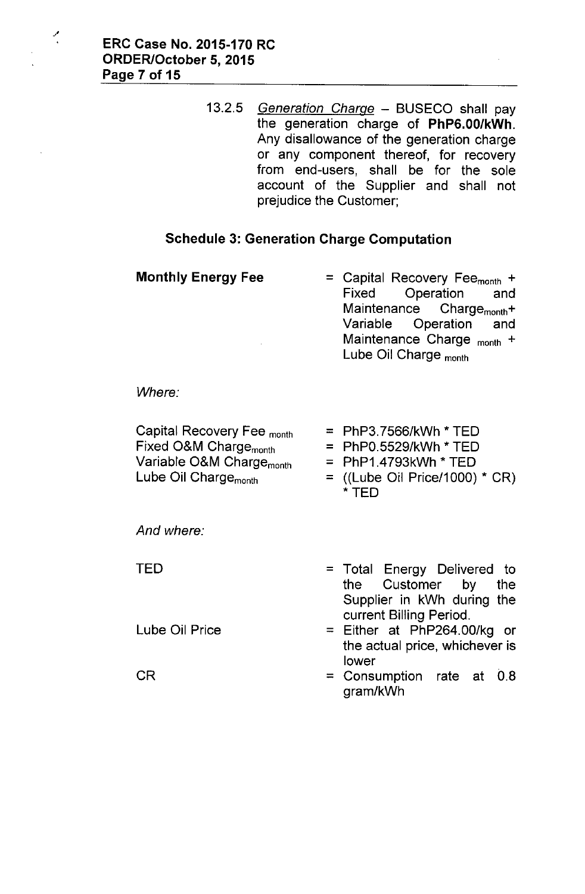أمجز

*13.2.5 Generation Charge -* BUSECO shall pay the generation charge of PhP6.00/kWh. Any disallowance of the generation charge or any component thereof, for recovery from end-users, shall be for the sole account of the Supplier and shall not prejudice the Customer;

## Schedule 3: Generation Charge Computation

| <b>Monthly Energy Fee</b> | = Capital Recovery Fee <sub>month</sub> + |
|---------------------------|-------------------------------------------|
|                           | Fixed Operation and                       |
|                           | Maintenance Charge <sub>month</sub> +     |
|                           | Variable Operation and                    |
|                           | Maintenance Charge <sub>month</sub> +     |
|                           | Lube Oil Charge $_{\text{month}}$         |
|                           |                                           |

*Where:*

| Capital Recovery Fee month           | $=$ PhP3.7566/kWh $*$ TED        |
|--------------------------------------|----------------------------------|
| Fixed O&M Charge <sub>month</sub>    | $=$ PhP0.5529/kWh * TED          |
| Variable O&M Charge <sub>month</sub> | $=$ PhP1.4793kWh $*$ TED         |
| Lube Oil Charge <sub>month</sub>     | $=$ ((Lube Oil Price/1000) * CR) |
|                                      | * TFD                            |

*And where:*

TED

Lube Oil Price

CR

- = Total Energy Delivered to the Customer by the Supplier in kWh during the current Billing Period.
- = Either at PhP264.00/kg or the actual price, whichever is lower
- = Consumption rate at 0.8 gram/kWh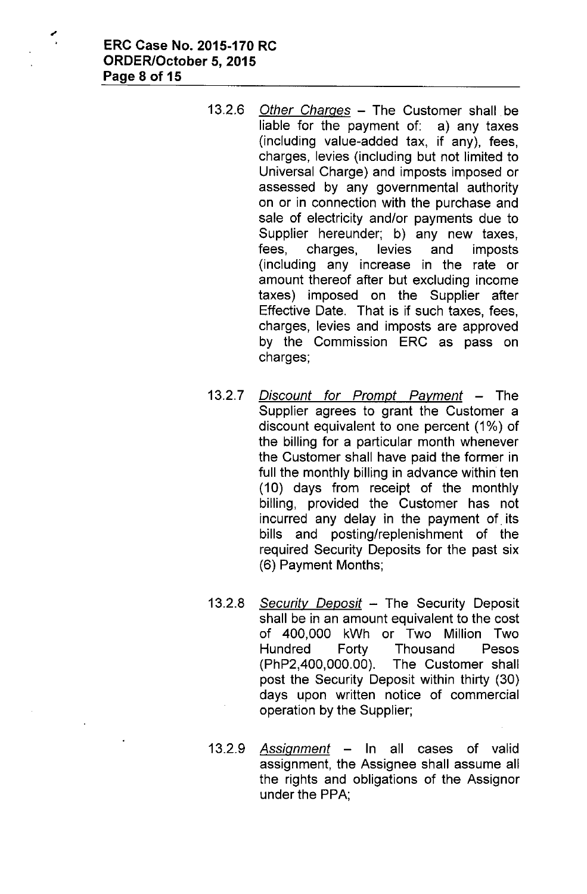- *13.2.6 Other Charges -* The Customer shall be liable for the payment of: a) any taxes (including value-added tax, if any), fees, charges, levies (including but not limited to Universal Charge) and imposts imposed or assessed by any governmental authority on or in connection with the purchase and sale of electricity and/or payments due to Supplier hereunder; b) any new taxes, fees, charges, levies and imposts (including any increase in the rate or amount thereof after but excluding income taxes) imposed on the Supplier after Effective Date. That is if such taxes, fees, charges, levies and imposts are approved by the Commission ERC as pass on charges;
- *13.2.7 Discount for Prompt Payment -* The Supplier agrees to grant the Customer a discount equivalent to one percent (1%) of the billing for a particular month whenever the Customer shall have paid the former in full the monthly billing in advance within ten (10) days from receipt of the monthly billing, provided the Customer has not incurred any delay in the payment of its bills and posting/replenishment of the required Security Deposits for the past six (6) Payment Months;
- *13.2.8 Security Deposit -* The Security Deposit shall be in an amount equivalent to the cost of 400,000 kWh or Two Million Two Hundred Forty Thousand Pesos (PhP2,400,000.00). The Customer shall post the Security Deposit within thirty (30) days upon written notice of commercial operation by the Supplier;
- *13.2.9 Assignment -* In all cases of valid assignment, the Assignee shall assume all the rights and obligations of the Assignor under the PPA;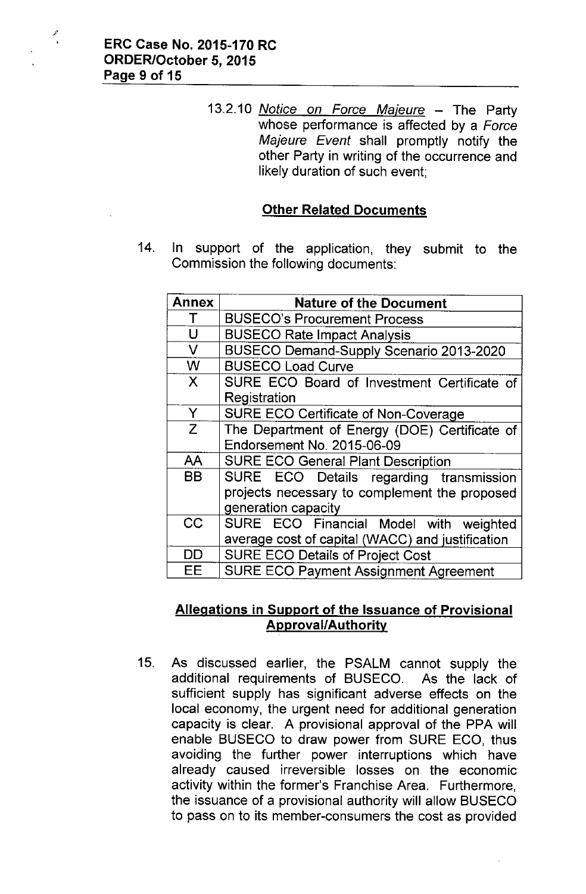*13.2.10 Notice on Force Majeure -* The Party whose performance is affected by a *Force Majeure Event* shall promptly notify the other Party in writing of the occurrence and likely duration of such event;

## **Other Related Documents**

14. In support of the application, they submit to the Commission the following documents:

| <b>Annex</b> | <b>Nature of the Document</b>                    |
|--------------|--------------------------------------------------|
|              | <b>BUSECO's Procurement Process</b>              |
| U            | <b>BUSECO Rate Impact Analysis</b>               |
| V            | BUSECO Demand-Supply Scenario 2013-2020          |
| W            | <b>BUSECO Load Curve</b>                         |
| X            | SURE ECO Board of Investment Certificate of      |
|              | Registration                                     |
| Y            | <b>SURE ECO Certificate of Non-Coverage</b>      |
| Z            | The Department of Energy (DOE) Certificate of    |
|              | Endorsement No. 2015-06-09                       |
| AA           | <b>SURE ECO General Plant Description</b>        |
| BB           | SURE ECO Details regarding transmission          |
|              | projects necessary to complement the proposed    |
|              | generation capacity                              |
| CC           | SURE ECO Financial Model with weighted           |
|              | average cost of capital (WACC) and justification |
| <b>DD</b>    | <b>SURE ECO Details of Project Cost</b>          |
| EЕ           | <b>SURE ECO Payment Assignment Agreement</b>     |

## **Allegations in Support of the Issuance of Provisional Approval/Authority**

15. As discussed earlier, the PSALM cannot supply the additional requirements of BUSECO. As the lack of sufficient supply has significant adverse effects on the local economy, the urgent need for additional generation capacity is clear. A provisional approval of the PPA will enable BUSECO to draw power from SURE ECO, thus avoiding the further power interruptions which have already caused irreversible losses on the economic activity within the former's Franchise Area. Furthermore, the issuance of a provisional authority will allow BUSECO to pass on to its member-consumers the cost as provided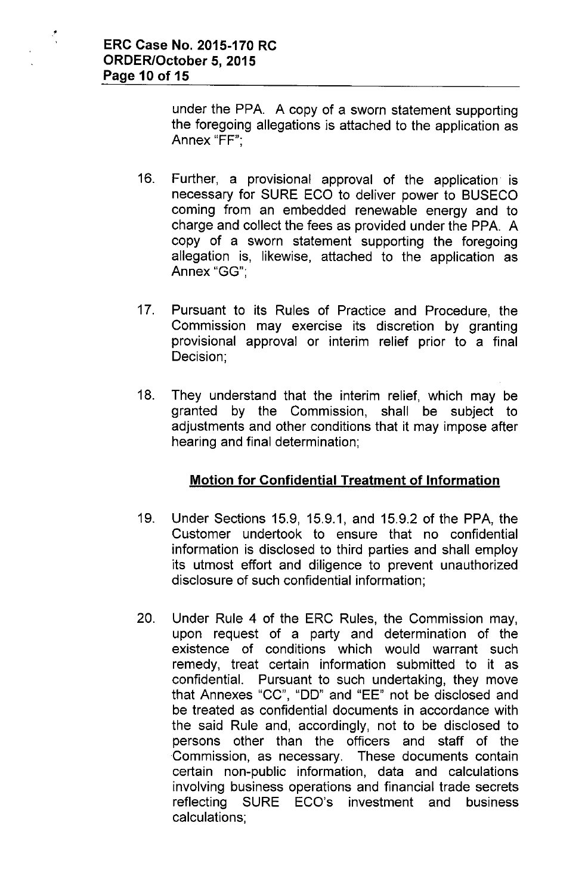•

under the PPA. A copy of a sworn statement supporting the foregoing allegations is attached to the application as Annex "FF'",

- 16. Further, a provisional approval of the application is necessary for **SURE** ECO to deliver power to BUSECO coming from an embedded renewable energy and to charge and collect the fees as provided under the PPA. A copy of a sworn statement supporting the foregoing allegation is, likewise, attached to the application as Annex "GG'",
- 17. Pursuant to its Rules of Practice and Procedure, the Commission may exercise its discretion by granting provisional approval or interim relief prior to a final Decision;
- 18. They understand that the interim relief, which may be granted by the Commission, shall be subject to adjustments and other conditions that it may impose after hearing and final determination;

# **Motion for Confidential Treatment of Information**

- 19. Under Sections 15.9, 15.9.1, and 15.9.2 of the PPA, the Customer undertook to ensure that no confidential information is disclosed to third parties and shall employ its utmost effort and diligence to prevent unauthorized disclosure of such confidential information;
- 20. Under Rule 4 of the ERC Rules, the Commission may, upon request of a party and determination of the existence of conditions which would warrant such remedy, treat certain information submitted to it as confidential. Pursuant to such undertaking, they move that Annexes "CC", "DO" and "EE" not be disclosed and be treated as confidential documents in accordance with the said Rule and, accordingly, not to be disclosed to persons other than the officers and staff of the Commission, as necessary. These documents contain certain non-public information, data and calculations involving business operations and financial trade secrets reflecting SURE ECO's investment and business calculations;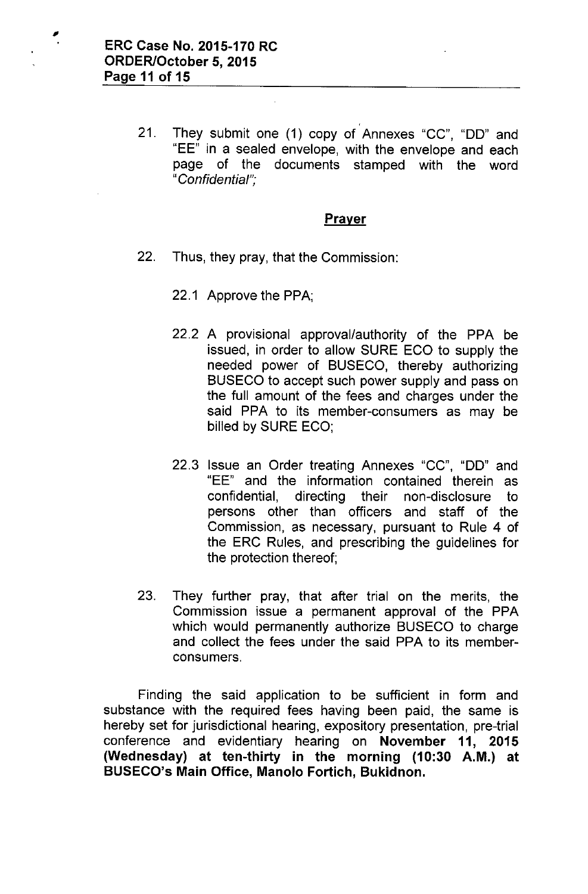,

21. They submit one (1) copy of Annexes "CC", "DO" and "EE" in a sealed envelope, with the envelope and each page of the documents stamped with the word *"Confidential".*,

#### Prayer

- 22. Thus, they pray, that the Commission:
	- 22.1 Approve the PPA;
	- 22.2 A provisional approval/authority of the PPA be issued, in order to allow SURE ECO to supply the needed power of BUSECO, thereby authorizing BUSECO to accept such power supply and pass on the full amount of the fees and charges under the said PPA to its member-consumers as may be billed by SURE ECO;
	- 22.3 Issue an Order treating Annexes "CC", "DO" and "EE" and the information contained therein as confidential, directing their non-disclosure to persons other than officers and staff of the Commission, as necessary, pursuant to Rule 4 of the ERC Rules, and prescribing the guidelines for the protection thereof;
- 23. They further pray, that after trial on the merits, the Commission issue a permanent approval of the PPA which would permanently authorize BUSECO to charge and collect the fees under the said PPA to its memberconsumers.

Finding the said application to be sufficient in form and substance with the required fees having been paid, the same is hereby set for jurisdictional hearing, expository presentation, pre-trial conference and evidentiary hearing on November **11,** 2015 (Wednesday) at ten-thirty in the morning (10:30 A.M.) at BUSECO's Main Office, Manolo Fortich, Bukidnon.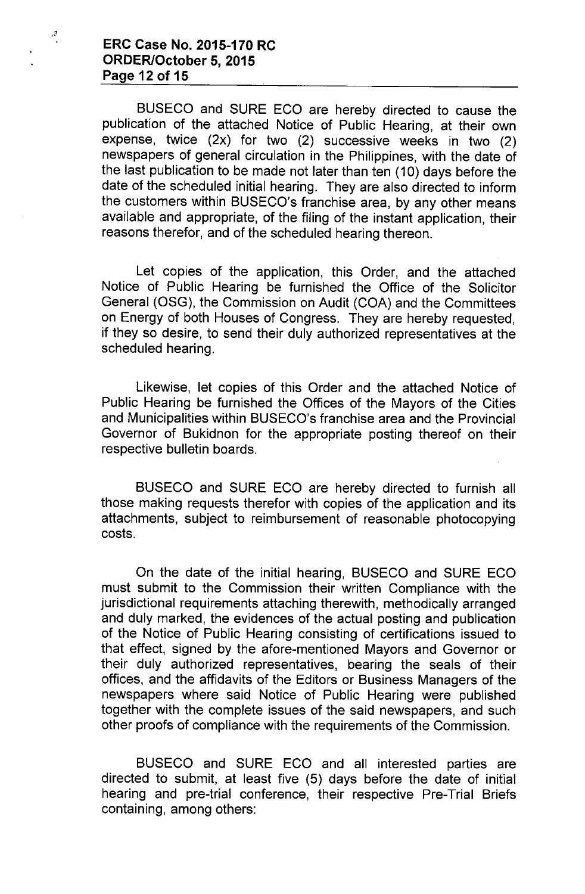## **ERC Case No. 2015-170 RC ORDER/October 5,2015 Page 12 of 15**

 $\frac{3}{2}$ 

BUSECO and SURE ECO are hereby directed to cause the publication of the attached Notice of Public Hearing, at their own expense, twice (2x) for two (2) successive weeks in two (2) newspapers of general circulation in the Philippines, with the date of the last publication to be made not later than ten (10) days before the date of the scheduled initial hearing. They are also directed to inform the customers within BUSECO's franchise area, by any other means available and appropriate, of the filing of the instant application, their reasons therefor, and of the scheduled hearing thereon.

Let copies of the application, this Order, and the attached Notice of Public Hearing be furnished the Office of the Solicitor General (OSG), the Commission on Audit (COA) and the Committees on Energy of both Houses of Congress. They are hereby requested, if they so desire, to send their duly authorized representatives at the scheduled hearing.

Likewise, let copies of this Order and the attached Notice of Public Hearing be furnished the Offices of the Mayors of the Cities and Municipalities within BUSECO's franchise area and the Provincial Governor of Bukidnon for the appropriate posting thereof on their respective bulletin boards.

BUSECO and SURE ECO are hereby directed to furnish all those making requests therefor with copies of the application and its attachments, subject to reimbursement of reasonable photocopying costs.

On the date of the initial hearing, BUSECO and SURE ECO must submit to the Commission their written Compliance with the jurisdictional requirements attaching therewith, methodically arranged and duly marked, the evidences of the actual posting and publication of the Notice of Public Hearing consisting of certifications issued to that effect, signed by the afore-mentioned Mayors and Governor or their duly authorized representatives, bearing the seals of their offices, and the affidavits of the Editors or Business Managers of the newspapers where said Notice of Public Hearing were published together with the complete issues of the said newspapers, and such other proofs of compliance with the requirements of the Commission.

BUSECO and SURE ECO and all interested parties are directed to submit, at least five (5) days before the date of initial hearing and pre-trial conference, their respective Pre-Trial Briefs containing, among others: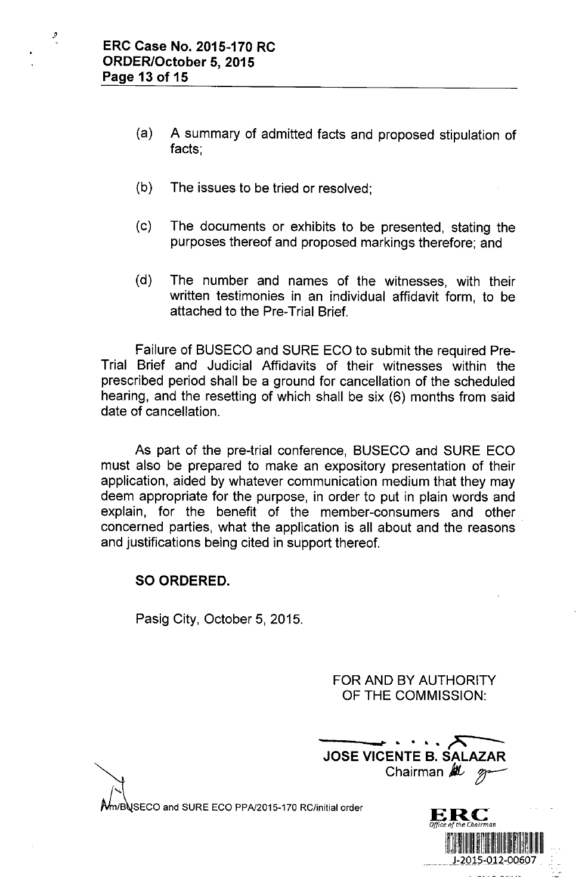$\mathcal{G}% _{0}$ 

- (a) A summary of admitted facts and proposed stipulation of facts;
- (b) The issues to be tried or resolved;
- (c) The documents or exhibits to be presented, stating the purposes thereof and proposed markings therefore; and
- (d) The number and names of the witnesses, with their written testimonies in an individual affidavit form, to be attached to the Pre-Trial Brief.

Failure of BUSECO and SURE ECO to submit the required Pre-Trial Brief and Judicial Affidavits of their witnesses within the prescribed period shall be a ground for cancellation of the scheduled hearing, and the resetting of which shall be six (6) months from said date of cancellation.

As part of the pre-trial conference, BUSECO and SURE ECO must also be prepared to make an expository presentation of their application, aided by whatever communication medium that they may deem appropriate for the purpose, in order to put in plain words and explain, for the benefit of the member-consumers and other concerned parties, what the application is all about and the reasons and justifications being cited in support thereof.

# SO ORDERED.

Pasig City, October 5, 2015.

FOR AND BY AUTHORITY OF THE COMMISSION:

**----,,,...... ....A ----** JOSE VICENTE B. SALAZAR JOSE VICENTE B. SALAZAR<br>Chairman *ML* 

m/BUSECO and SURE ECO PPA/2015-170 RC/initial order

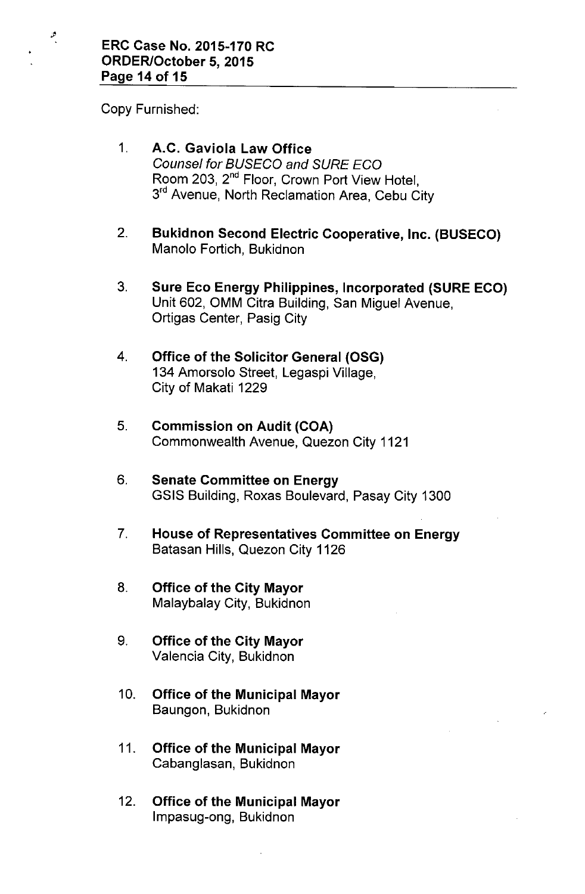Copy Furnished:

 $\mathcal{P}$ 

- 1. A.C. Gaviola Law Office *Counsel for BUSECO and SURE ECO* Room 203, 2<sup>nd</sup> Floor, Crown Port View Hotel, 3<sup>rd</sup> Avenue, North Reclamation Area, Cebu City
- 2. Bukidnon Second Electric Cooperative, Inc. (BUSECO) Manolo Fortich, Bukidnon
- 3. Sure Eco Energy Philippines, Incorporated (SURE ECO) Unit 602, OMM Citra Building, San Miguel Avenue, Ortigas Center, Pasig City
- 4. Office of the Solicitor General (OSG) 134 Amorsolo Street, Legaspi Village, City of Makati 1229
- 5. Commission on Audit (COA) Commonwealth Avenue, Quezon City 1121
- 6. Senate Committee on Energy GSIS Building, Roxas Boulevard, Pasay City 1300
- 7. House of Representatives Committee on Energy Batasan Hills, Quezon City 1126
- 8. Office of the City Mayor Malaybalay City, Bukidnon
- 9. Office of the City Mayor Valencia City, Bukidnon
- 10. Office of the Municipal Mayor Baungon, Bukidnon
- 11. Office of the Municipal Mayor Cabanglasan, Bukidnon
- 12. Office of the Municipal Mayor Impasug-ong, Bukidnon